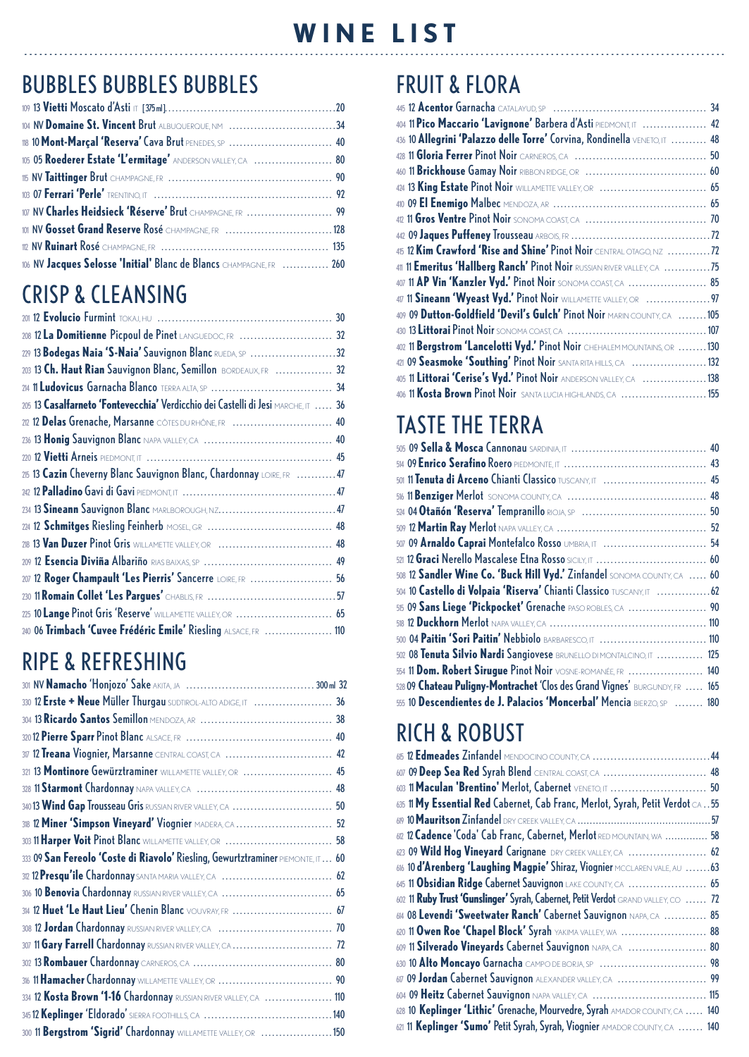## BUBBLES BUBBLES BUBBLES

| 104 NV Domaine St. Vincent Brut ALBUQUERQUE, NM 34                  |  |
|---------------------------------------------------------------------|--|
| 18 10 Mont-Marçal 'Reserva' Cava Brut PENEDES, SP  40               |  |
| 105 05 Roederer Estate 'L'ermitage' ANDERSON VALLEY, CA  80         |  |
|                                                                     |  |
|                                                                     |  |
| 107 NV Charles Heidsieck 'Réserve' Brut CHAMPAGNE, FR  99           |  |
| 101 NV Gosset Grand Reserve Rosé CHAMPAGNE, FR 128                  |  |
|                                                                     |  |
| 106 NV Jacques Selosse 'Initial' Blanc de Blancs CHAMPAGNE, FR  260 |  |

# CRISP & CLEANSING

| 208 12 La Domitienne Picpoul de Pinet LANGUEDOC, FR  32                           |  |
|-----------------------------------------------------------------------------------|--|
| 229 13 Bodegas Naia 'S-Naia' Sauvignon Blanc RUEDA, SP 32                         |  |
| 203 13 Ch. Haut Rian Sauvignon Blanc, Semillon BORDEAUX, FR  32                   |  |
|                                                                                   |  |
| 205 13 Casalfarneto 'Fontevecchia' Verdicchio dei Castelli di Jesi MARCHE, IT  36 |  |
| 202 12 Delas Grenache, Marsanne CÔTES DURHÔNE, FR  40                             |  |
|                                                                                   |  |
|                                                                                   |  |
| 215 13 Cazin Cheverny Blanc Sauvignon Blanc, Chardonnay LOIRE, FR 47              |  |
|                                                                                   |  |
|                                                                                   |  |
|                                                                                   |  |
|                                                                                   |  |
|                                                                                   |  |
| 207 12 Roger Champault 'Les Pierris' Sancerre LOIRE, FR  56                       |  |
|                                                                                   |  |
| 225 10 Lange Pinot Gris 'Reserve' WILLAMETTE VALLEY, OR  65                       |  |
| 240 06 Trimbach 'Cuvee Frédéric Emile' Riesling ALSACE, FR  110                   |  |

## RIPE & REFRESHING

| 330 12 Erste + Neue Müller Thurgau SUDTIROL-ALTO ADIGE, IT  36                  |  |
|---------------------------------------------------------------------------------|--|
|                                                                                 |  |
|                                                                                 |  |
| 317 12 Treana Viognier, Marsanne CENTRAL COAST, CA  42                          |  |
| 321 13 Montinore Gewürztraminer WILLAMETTE VALLEY, OR  45                       |  |
|                                                                                 |  |
| 340 13 Wind Gap Trousseau Gris RUSSIAN RIVER VALLEY, CA  50                     |  |
|                                                                                 |  |
| 303 11 Harper Voit Pinot Blanc WILLAMETTE VALLEY, OR  58                        |  |
| 333 09 San Fereolo 'Coste di Riavolo' Riesling, Gewurtztraminer PIEMONTE, IT 60 |  |
|                                                                                 |  |
| 306 10 Benovia Chardonnay RUSSIAN RIVER VALLEY, CA  65                          |  |
| 34 12 Huet 'Le Haut Lieu' Chenin Blanc vouvray, FR  67                          |  |
|                                                                                 |  |
|                                                                                 |  |
|                                                                                 |  |
|                                                                                 |  |
| 334 12 Kosta Brown '1-16 Chardonnay RUSSIAN RIVER VALLEY, CA  110               |  |
|                                                                                 |  |
| 300 11 Bergstrom 'Sigrid' Chardonnay WILLAMETTE VALLEY, OR 150                  |  |

# FRUIT & FLORA

| 404 11 Pico Maccario 'Lavignone' Barbera d'Asti PIEDMONT, IT  42          |  |
|---------------------------------------------------------------------------|--|
| 436 10 Allegrini 'Palazzo delle Torre' Corvina, Rondinella VENETO, IT  48 |  |
|                                                                           |  |
|                                                                           |  |
| 424 13 King Estate Pinot Noir WILLAMETTE VALLEY, OR  65                   |  |
|                                                                           |  |
|                                                                           |  |
|                                                                           |  |
| 415 12 Kim Crawford 'Rise and Shine' Pinot Noir CENTRAL OTAGO, NZ 72      |  |
| 411 Emeritus 'Hallberg Ranch' Pinot Noir RUSSIAN RIVER VALLEY, CA 75      |  |
| 407 11 AP Vin 'Kanzler Vyd.' Pinot Noir SONOMA COAST, CA  85              |  |
| 47 11 Sineann 'Wyeast Vyd.' Pinot Noir WILLAMETTE VALLEY, OR  97          |  |
| 409 09 Dutton-Goldfield 'Devil's Gulch' Pinot Noir MARIN COUNTY, CA 105   |  |
|                                                                           |  |
| 402 11 Bergstrom 'Lancelotti Vyd.' Pinot Noir CHEHALEM MOUNTAINS, OR 130  |  |
| 421 09 Seasmoke 'Southing' Pinot Noir SANTA RITA HILLS, CA 132            |  |
| 405 11 Littorai 'Cerise's Vyd.' Pinot Noir ANDERSON VALLEY, CA 138        |  |
| 406 11 Kosta Brown Pinot Noir SANTA LUCIA HIGHLANDS, CA  155              |  |

# TASTE THE TERRA

| 501 11 Tenuta di Arceno Chianti Classico TUSCANY, IT  45                    |  |
|-----------------------------------------------------------------------------|--|
|                                                                             |  |
|                                                                             |  |
|                                                                             |  |
| 507 09 Arnaldo Caprai Montefalco Rosso UMBRIA, IT  54                       |  |
|                                                                             |  |
| 508 12 Sandler Wine Co. 'Buck Hill Vyd.' Zinfandel SONOMA COUNTY, CA  60    |  |
| 504 10 Castello di Volpaia 'Riserva' Chianti Classico TUSCANY, IT 62        |  |
| 515 09 Sans Liege 'Pickpocket' Grenache PASO ROBLES, CA  90                 |  |
|                                                                             |  |
| 500 04 Paitin 'Sori Paitin' Nebbiolo BARBARESCO, IT  110                    |  |
| 502 08 Tenuta Silvio Nardi Sangiovese BRUNELLO DI MONTALCINO, IT  125       |  |
| 554 11 Dom. Robert Sirugue Pinot Noir VOSNE-ROMANÉE, FR  140                |  |
| 528 09 Chateau Puligny-Montrachet 'Clos des Grand Vignes' BURGUNDY, FR  165 |  |
| 555 10 Descendientes de J. Palacios 'Moncerbal' Mencia BIERZO, SP  180      |  |

# RICH & ROBUST

| 615 12 Edmeades Zinfandel MENDOCINO COUNTY, CA  44                                |  |
|-----------------------------------------------------------------------------------|--|
| 607 09 Deep Sea Red Syrah Blend CENTRAL COAST, CA  48                             |  |
| 603 11 Maculan 'Brentino' Merlot, Cabernet VENETO, IT  50                         |  |
| 635 11 My Essential Red Cabernet, Cab Franc, Merlot, Syrah, Petit Verdot CA 55    |  |
|                                                                                   |  |
| 612 12 Cadence 'Coda' Cab Franc, Cabernet, Merlot RED MOUNTAIN, WA  58            |  |
| 623 09 Wild Hog Vineyard Carignane DRY CREEK VALLEY, CA  62                       |  |
| 616 10 d'Arenberg 'Laughing Magpie' Shiraz, Viognier MCCLAREN VALE, AU 63         |  |
| 645 11 Obsidian Ridge Cabernet Sauvignon LAKE COUNTY, CA  65                      |  |
| 602 11 Ruby Trust 'Gunslinger' Syrah, Cabernet, Petit Verdot GRAND VALLEY, CO  72 |  |
| 614 08 Levendi 'Sweetwater Ranch' Cabernet Sauvignon NAPA, CA  85                 |  |
| 620 11 Owen Roe 'Chapel Block' Syrah YAKIMA VALLEY, WA  88                        |  |
| 609 11 Silverado Vineyards Cabernet Sauvignon NAPA, CA  80                        |  |
|                                                                                   |  |
| 67 09 Jordan Cabernet Sauvignon ALEXANDER VALLEY, CA  99                          |  |
| 604 09 Heitz Cabernet Sauvignon NAPA VALLEY, CA  115                              |  |
| 628 10 Keplinger 'Lithic' Grenache, Mourvedre, Syrah AMADOR COUNTY, CA  140       |  |
| 621 11 Keplinger 'Sumo' Petit Syrah, Syrah, Viognier AMADOR COUNTY, CA  140       |  |